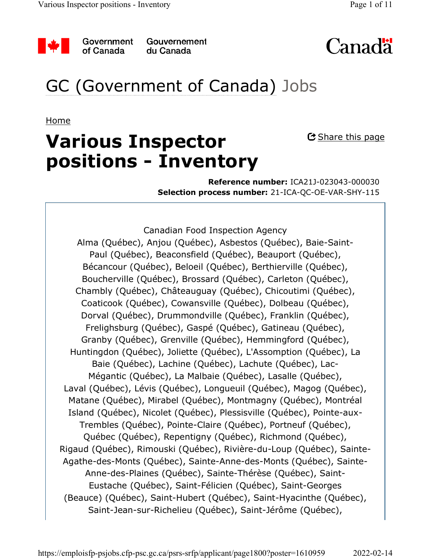

Government of Canada

Gouvernement du Canada



# GC (Government of Canada) Jobs

Home

# **Various Inspector positions - Inventory**

 $\mathbf{\mathfrak{C}}$  Share this page

**Reference number:** ICA21J-023043-000030 **Selection process number:** 21-ICA-QC-OE-VAR-SHY-115

Canadian Food Inspection Agency Alma (Québec), Anjou (Québec), Asbestos (Québec), Baie-Saint-Paul (Québec), Beaconsfield (Québec), Beauport (Québec), Bécancour (Québec), Beloeil (Québec), Berthierville (Québec), Boucherville (Québec), Brossard (Québec), Carleton (Québec), Chambly (Québec), Châteauguay (Québec), Chicoutimi (Québec), Coaticook (Québec), Cowansville (Québec), Dolbeau (Québec), Dorval (Québec), Drummondville (Québec), Franklin (Québec), Frelighsburg (Québec), Gaspé (Québec), Gatineau (Québec), Granby (Québec), Grenville (Québec), Hemmingford (Québec), Huntingdon (Québec), Joliette (Québec), L'Assomption (Québec), La Baie (Québec), Lachine (Québec), Lachute (Québec), Lac-Mégantic (Québec), La Malbaie (Québec), Lasalle (Québec), Laval (Québec), Lévis (Québec), Longueuil (Québec), Magog (Québec), Matane (Québec), Mirabel (Québec), Montmagny (Québec), Montréal Island (Québec), Nicolet (Québec), Plessisville (Québec), Pointe-aux-Trembles (Québec), Pointe-Claire (Québec), Portneuf (Québec), Québec (Québec), Repentigny (Québec), Richmond (Québec), Rigaud (Québec), Rimouski (Québec), Rivière-du-Loup (Québec), Sainte-Agathe-des-Monts (Québec), Sainte-Anne-des-Monts (Québec), Sainte-Anne-des-Plaines (Québec), Sainte-Thérèse (Québec), Saint-Eustache (Québec), Saint-Félicien (Québec), Saint-Georges (Beauce) (Québec), Saint-Hubert (Québec), Saint-Hyacinthe (Québec), Saint-Jean-sur-Richelieu (Québec), Saint-Jérôme (Québec),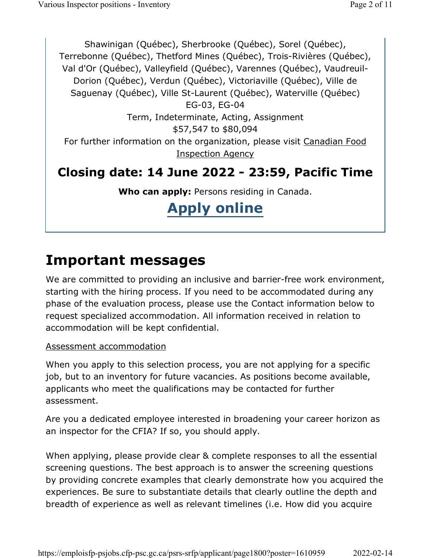Shawinigan (Québec), Sherbrooke (Québec), Sorel (Québec), Terrebonne (Québec), Thetford Mines (Québec), Trois-Rivières (Québec), Val d'Or (Québec), Valleyfield (Québec), Varennes (Québec), Vaudreuil-Dorion (Québec), Verdun (Québec), Victoriaville (Québec), Ville de Saguenay (Québec), Ville St-Laurent (Québec), Waterville (Québec) EG-03, EG-04 Term, Indeterminate, Acting, Assignment \$57,547 to \$80,094 For further information on the organization, please visit Canadian Food Inspection Agency **Closing date: 14 June 2022 - 23:59, Pacific Time** 

**Who can apply:** Persons residing in Canada.

# **Apply online**

### **Important messages**

We are committed to providing an inclusive and barrier-free work environment, starting with the hiring process. If you need to be accommodated during any phase of the evaluation process, please use the Contact information below to request specialized accommodation. All information received in relation to accommodation will be kept confidential.

#### Assessment accommodation

When you apply to this selection process, you are not applying for a specific job, but to an inventory for future vacancies. As positions become available, applicants who meet the qualifications may be contacted for further assessment.

Are you a dedicated employee interested in broadening your career horizon as an inspector for the CFIA? If so, you should apply.

When applying, please provide clear & complete responses to all the essential screening questions. The best approach is to answer the screening questions by providing concrete examples that clearly demonstrate how you acquired the experiences. Be sure to substantiate details that clearly outline the depth and breadth of experience as well as relevant timelines (i.e. How did you acquire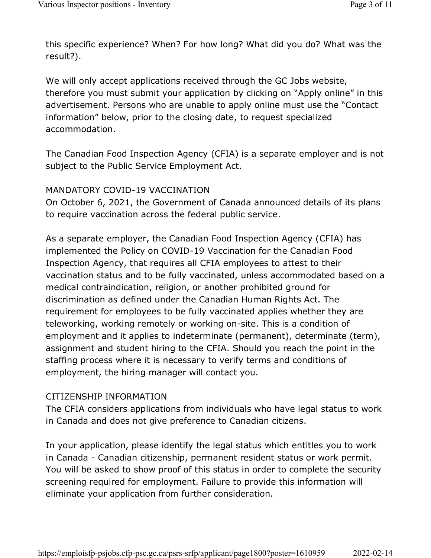this specific experience? When? For how long? What did you do? What was the result?).

We will only accept applications received through the GC Jobs website, therefore you must submit your application by clicking on "Apply online" in this advertisement. Persons who are unable to apply online must use the "Contact information" below, prior to the closing date, to request specialized accommodation.

The Canadian Food Inspection Agency (CFIA) is a separate employer and is not subject to the Public Service Employment Act.

#### MANDATORY COVID-19 VACCINATION

On October 6, 2021, the Government of Canada announced details of its plans to require vaccination across the federal public service.

As a separate employer, the Canadian Food Inspection Agency (CFIA) has implemented the Policy on COVID-19 Vaccination for the Canadian Food Inspection Agency, that requires all CFIA employees to attest to their vaccination status and to be fully vaccinated, unless accommodated based on a medical contraindication, religion, or another prohibited ground for discrimination as defined under the Canadian Human Rights Act. The requirement for employees to be fully vaccinated applies whether they are teleworking, working remotely or working on-site. This is a condition of employment and it applies to indeterminate (permanent), determinate (term), assignment and student hiring to the CFIA. Should you reach the point in the staffing process where it is necessary to verify terms and conditions of employment, the hiring manager will contact you.

#### CITIZENSHIP INFORMATION

The CFIA considers applications from individuals who have legal status to work in Canada and does not give preference to Canadian citizens.

In your application, please identify the legal status which entitles you to work in Canada - Canadian citizenship, permanent resident status or work permit. You will be asked to show proof of this status in order to complete the security screening required for employment. Failure to provide this information will eliminate your application from further consideration.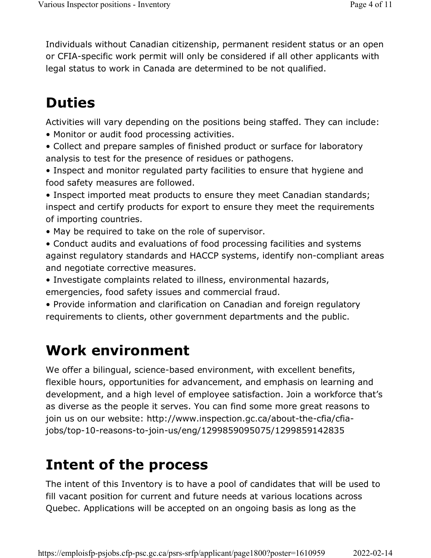Individuals without Canadian citizenship, permanent resident status or an open or CFIA-specific work permit will only be considered if all other applicants with legal status to work in Canada are determined to be not qualified.

# **Duties**

Activities will vary depending on the positions being staffed. They can include:

- Monitor or audit food processing activities.
- Collect and prepare samples of finished product or surface for laboratory analysis to test for the presence of residues or pathogens.
- Inspect and monitor regulated party facilities to ensure that hygiene and food safety measures are followed.

• Inspect imported meat products to ensure they meet Canadian standards; inspect and certify products for export to ensure they meet the requirements of importing countries.

• May be required to take on the role of supervisor.

• Conduct audits and evaluations of food processing facilities and systems against regulatory standards and HACCP systems, identify non-compliant areas and negotiate corrective measures.

• Investigate complaints related to illness, environmental hazards, emergencies, food safety issues and commercial fraud.

• Provide information and clarification on Canadian and foreign regulatory requirements to clients, other government departments and the public.

## **Work environment**

We offer a bilingual, science-based environment, with excellent benefits, flexible hours, opportunities for advancement, and emphasis on learning and development, and a high level of employee satisfaction. Join a workforce that's as diverse as the people it serves. You can find some more great reasons to join us on our website: http://www.inspection.gc.ca/about-the-cfia/cfiajobs/top-10-reasons-to-join-us/eng/1299859095075/1299859142835

# **Intent of the process**

The intent of this Inventory is to have a pool of candidates that will be used to fill vacant position for current and future needs at various locations across Quebec. Applications will be accepted on an ongoing basis as long as the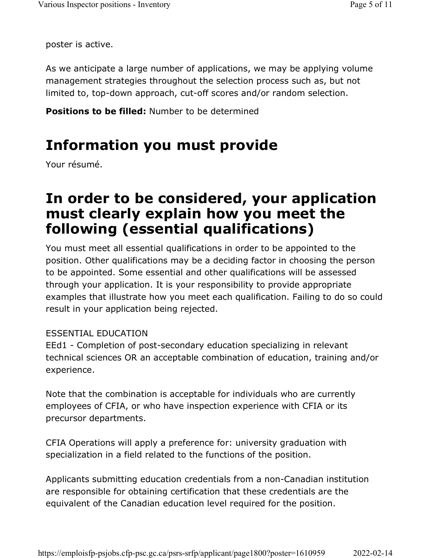poster is active.

As we anticipate a large number of applications, we may be applying volume management strategies throughout the selection process such as, but not limited to, top-down approach, cut-off scores and/or random selection.

**Positions to be filled:** Number to be determined

### **Information you must provide**

Your résumé.

### **In order to be considered, your application must clearly explain how you meet the following (essential qualifications)**

You must meet all essential qualifications in order to be appointed to the position. Other qualifications may be a deciding factor in choosing the person to be appointed. Some essential and other qualifications will be assessed through your application. It is your responsibility to provide appropriate examples that illustrate how you meet each qualification. Failing to do so could result in your application being rejected.

#### ESSENTIAL EDUCATION

EEd1 - Completion of post-secondary education specializing in relevant technical sciences OR an acceptable combination of education, training and/or experience.

Note that the combination is acceptable for individuals who are currently employees of CFIA, or who have inspection experience with CFIA or its precursor departments.

CFIA Operations will apply a preference for: university graduation with specialization in a field related to the functions of the position.

Applicants submitting education credentials from a non-Canadian institution are responsible for obtaining certification that these credentials are the equivalent of the Canadian education level required for the position.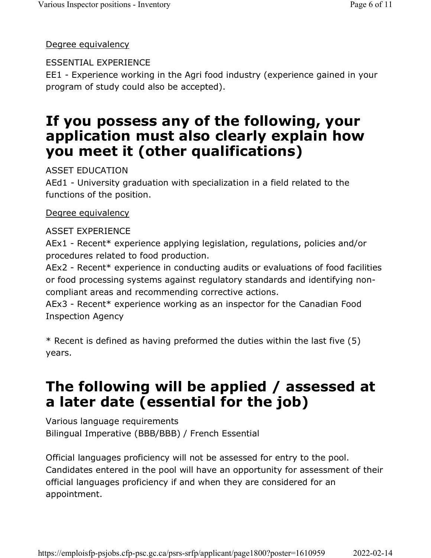#### Degree equivalency

#### ESSENTIAL EXPERIENCE

EE1 - Experience working in the Agri food industry (experience gained in your program of study could also be accepted).

### **If you possess any of the following, your application must also clearly explain how you meet it (other qualifications)**

ASSET EDUCATION

AEd1 - University graduation with specialization in a field related to the functions of the position.

#### Degree equivalency

#### ASSET EXPERIENCE

AEx1 - Recent\* experience applying legislation, regulations, policies and/or procedures related to food production.

AEx2 - Recent\* experience in conducting audits or evaluations of food facilities or food processing systems against regulatory standards and identifying noncompliant areas and recommending corrective actions.

AEx3 - Recent\* experience working as an inspector for the Canadian Food Inspection Agency

\* Recent is defined as having preformed the duties within the last five (5) years.

## **The following will be applied / assessed at a later date (essential for the job)**

Various language requirements Bilingual Imperative (BBB/BBB) / French Essential

Official languages proficiency will not be assessed for entry to the pool. Candidates entered in the pool will have an opportunity for assessment of their official languages proficiency if and when they are considered for an appointment.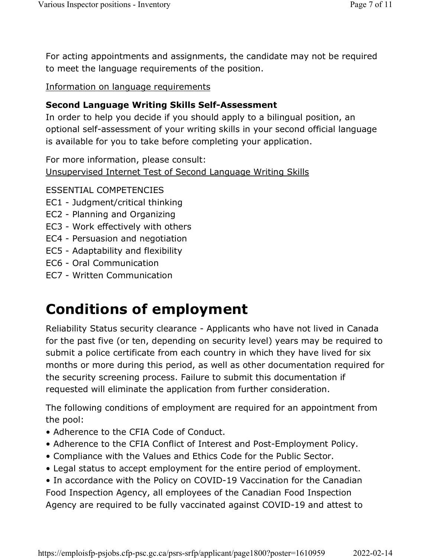For acting appointments and assignments, the candidate may not be required to meet the language requirements of the position.

Information on language requirements

#### **Second Language Writing Skills Self-Assessment**

In order to help you decide if you should apply to a bilingual position, an optional self-assessment of your writing skills in your second official language is available for you to take before completing your application.

For more information, please consult:

Unsupervised Internet Test of Second Language Writing Skills

ESSENTIAL COMPETENCIES

- EC1 Judgment/critical thinking
- EC2 Planning and Organizing
- EC3 Work effectively with others
- EC4 Persuasion and negotiation
- EC5 Adaptability and flexibility
- EC6 Oral Communication
- EC7 Written Communication

## **Conditions of employment**

Reliability Status security clearance - Applicants who have not lived in Canada for the past five (or ten, depending on security level) years may be required to submit a police certificate from each country in which they have lived for six months or more during this period, as well as other documentation required for the security screening process. Failure to submit this documentation if requested will eliminate the application from further consideration.

The following conditions of employment are required for an appointment from the pool:

- Adherence to the CFIA Code of Conduct.
- Adherence to the CFIA Conflict of Interest and Post-Employment Policy.
- Compliance with the Values and Ethics Code for the Public Sector.
- Legal status to accept employment for the entire period of employment.

• In accordance with the Policy on COVID-19 Vaccination for the Canadian Food Inspection Agency, all employees of the Canadian Food Inspection Agency are required to be fully vaccinated against COVID-19 and attest to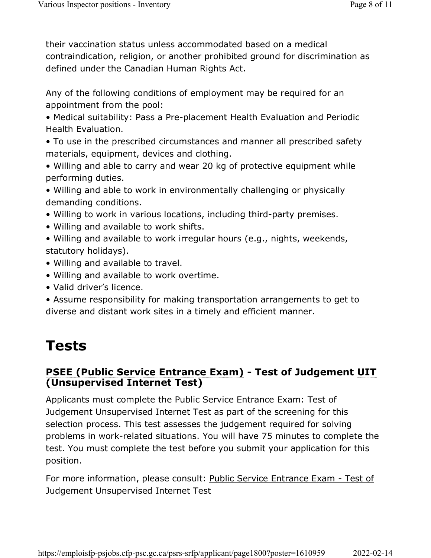their vaccination status unless accommodated based on a medical contraindication, religion, or another prohibited ground for discrimination as defined under the Canadian Human Rights Act.

Any of the following conditions of employment may be required for an appointment from the pool:

• Medical suitability: Pass a Pre-placement Health Evaluation and Periodic Health Evaluation.

• To use in the prescribed circumstances and manner all prescribed safety materials, equipment, devices and clothing.

• Willing and able to carry and wear 20 kg of protective equipment while performing duties.

• Willing and able to work in environmentally challenging or physically demanding conditions.

• Willing to work in various locations, including third-party premises.

• Willing and available to work shifts.

• Willing and available to work irregular hours (e.g., nights, weekends, statutory holidays).

- Willing and available to travel.
- Willing and available to work overtime.
- Valid driver's licence.

• Assume responsibility for making transportation arrangements to get to diverse and distant work sites in a timely and efficient manner.

## **Tests**

#### **PSEE (Public Service Entrance Exam) - Test of Judgement UIT (Unsupervised Internet Test)**

Applicants must complete the Public Service Entrance Exam: Test of Judgement Unsupervised Internet Test as part of the screening for this selection process. This test assesses the judgement required for solving problems in work-related situations. You will have 75 minutes to complete the test. You must complete the test before you submit your application for this position.

For more information, please consult: Public Service Entrance Exam - Test of Judgement Unsupervised Internet Test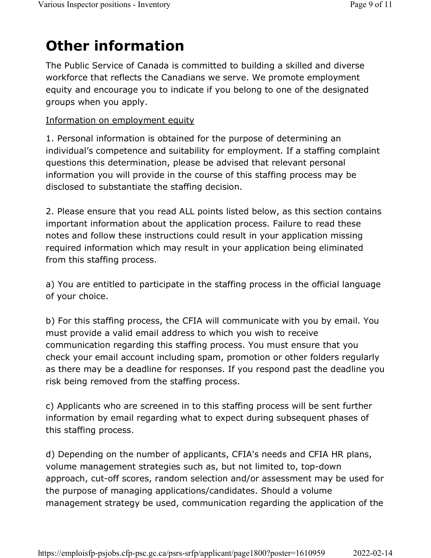# **Other information**

The Public Service of Canada is committed to building a skilled and diverse workforce that reflects the Canadians we serve. We promote employment equity and encourage you to indicate if you belong to one of the designated groups when you apply.

#### Information on employment equity

1. Personal information is obtained for the purpose of determining an individual's competence and suitability for employment. If a staffing complaint questions this determination, please be advised that relevant personal information you will provide in the course of this staffing process may be disclosed to substantiate the staffing decision.

2. Please ensure that you read ALL points listed below, as this section contains important information about the application process. Failure to read these notes and follow these instructions could result in your application missing required information which may result in your application being eliminated from this staffing process.

a) You are entitled to participate in the staffing process in the official language of your choice.

b) For this staffing process, the CFIA will communicate with you by email. You must provide a valid email address to which you wish to receive communication regarding this staffing process. You must ensure that you check your email account including spam, promotion or other folders regularly as there may be a deadline for responses. If you respond past the deadline you risk being removed from the staffing process.

c) Applicants who are screened in to this staffing process will be sent further information by email regarding what to expect during subsequent phases of this staffing process.

d) Depending on the number of applicants, CFIA's needs and CFIA HR plans, volume management strategies such as, but not limited to, top-down approach, cut-off scores, random selection and/or assessment may be used for the purpose of managing applications/candidates. Should a volume management strategy be used, communication regarding the application of the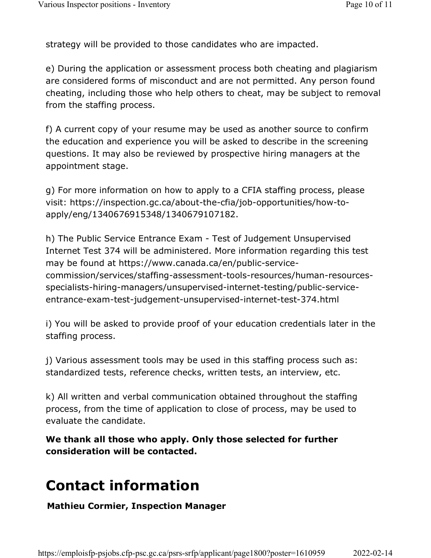strategy will be provided to those candidates who are impacted.

e) During the application or assessment process both cheating and plagiarism are considered forms of misconduct and are not permitted. Any person found cheating, including those who help others to cheat, may be subject to removal from the staffing process.

f) A current copy of your resume may be used as another source to confirm the education and experience you will be asked to describe in the screening questions. It may also be reviewed by prospective hiring managers at the appointment stage.

g) For more information on how to apply to a CFIA staffing process, please visit: https://inspection.gc.ca/about-the-cfia/job-opportunities/how-toapply/eng/1340676915348/1340679107182.

h) The Public Service Entrance Exam - Test of Judgement Unsupervised Internet Test 374 will be administered. More information regarding this test may be found at https://www.canada.ca/en/public-servicecommission/services/staffing-assessment-tools-resources/human-resourcesspecialists-hiring-managers/unsupervised-internet-testing/public-serviceentrance-exam-test-judgement-unsupervised-internet-test-374.html

i) You will be asked to provide proof of your education credentials later in the staffing process.

j) Various assessment tools may be used in this staffing process such as: standardized tests, reference checks, written tests, an interview, etc.

k) All written and verbal communication obtained throughout the staffing process, from the time of application to close of process, may be used to evaluate the candidate.

**We thank all those who apply. Only those selected for further consideration will be contacted.**

## **Contact information**

**Mathieu Cormier, Inspection Manager**